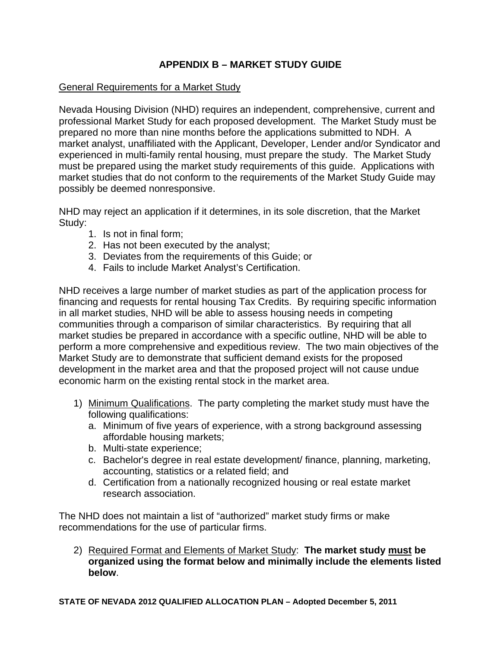## **APPENDIX B – MARKET STUDY GUIDE**

## General Requirements for a Market Study

Nevada Housing Division (NHD) requires an independent, comprehensive, current and professional Market Study for each proposed development. The Market Study must be prepared no more than nine months before the applications submitted to NDH. A market analyst, unaffiliated with the Applicant, Developer, Lender and/or Syndicator and experienced in multi-family rental housing, must prepare the study. The Market Study must be prepared using the market study requirements of this guide. Applications with market studies that do not conform to the requirements of the Market Study Guide may possibly be deemed nonresponsive.

NHD may reject an application if it determines, in its sole discretion, that the Market Study:

- 1. Is not in final form;
- 2. Has not been executed by the analyst;
- 3. Deviates from the requirements of this Guide; or
- 4. Fails to include Market Analyst's Certification.

NHD receives a large number of market studies as part of the application process for financing and requests for rental housing Tax Credits. By requiring specific information in all market studies, NHD will be able to assess housing needs in competing communities through a comparison of similar characteristics. By requiring that all market studies be prepared in accordance with a specific outline, NHD will be able to perform a more comprehensive and expeditious review. The two main objectives of the Market Study are to demonstrate that sufficient demand exists for the proposed development in the market area and that the proposed project will not cause undue economic harm on the existing rental stock in the market area.

- 1) Minimum Qualifications. The party completing the market study must have the following qualifications:
	- a. Minimum of five years of experience, with a strong background assessing affordable housing markets;
	- b. Multi-state experience;
	- c. Bachelor's degree in real estate development/ finance, planning, marketing, accounting, statistics or a related field; and
	- d. Certification from a nationally recognized housing or real estate market research association.

The NHD does not maintain a list of "authorized" market study firms or make recommendations for the use of particular firms.

2) Required Format and Elements of Market Study: **The market study must be organized using the format below and minimally include the elements listed below**.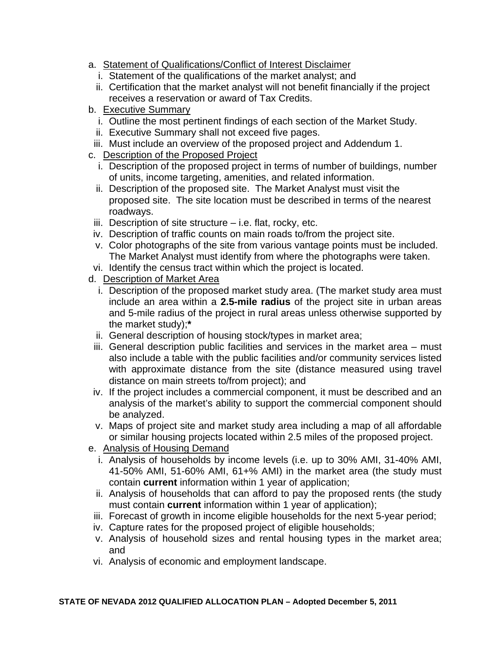- a. Statement of Qualifications/Conflict of Interest Disclaimer
	- i. Statement of the qualifications of the market analyst; and
	- ii. Certification that the market analyst will not benefit financially if the project receives a reservation or award of Tax Credits.
- b. Executive Summary
	- i. Outline the most pertinent findings of each section of the Market Study.
	- ii. Executive Summary shall not exceed five pages.
- iii. Must include an overview of the proposed project and Addendum 1.
- c. Description of the Proposed Project
	- i. Description of the proposed project in terms of number of buildings, number of units, income targeting, amenities, and related information.
	- ii. Description of the proposed site. The Market Analyst must visit the proposed site. The site location must be described in terms of the nearest roadways.
	- iii. Description of site structure  $-$  i.e. flat, rocky, etc.
	- iv. Description of traffic counts on main roads to/from the project site.
	- v. Color photographs of the site from various vantage points must be included. The Market Analyst must identify from where the photographs were taken.
- vi. Identify the census tract within which the project is located.
- d. Description of Market Area
	- i. Description of the proposed market study area. (The market study area must include an area within a **2.5-mile radius** of the project site in urban areas and 5-mile radius of the project in rural areas unless otherwise supported by the market study);**\***
	- ii. General description of housing stock/types in market area;
- iii. General description public facilities and services in the market area must also include a table with the public facilities and/or community services listed with approximate distance from the site (distance measured using travel distance on main streets to/from project); and
- iv. If the project includes a commercial component, it must be described and an analysis of the market's ability to support the commercial component should be analyzed.
- v. Maps of project site and market study area including a map of all affordable or similar housing projects located within 2.5 miles of the proposed project.
- e. Analysis of Housing Demand
	- i. Analysis of households by income levels (i.e. up to 30% AMI, 31-40% AMI, 41-50% AMI, 51-60% AMI, 61+% AMI) in the market area (the study must contain **current** information within 1 year of application;
	- ii. Analysis of households that can afford to pay the proposed rents (the study must contain **current** information within 1 year of application);
- iii. Forecast of growth in income eligible households for the next 5-year period;
- iv. Capture rates for the proposed project of eligible households;
- v. Analysis of household sizes and rental housing types in the market area; and
- vi. Analysis of economic and employment landscape.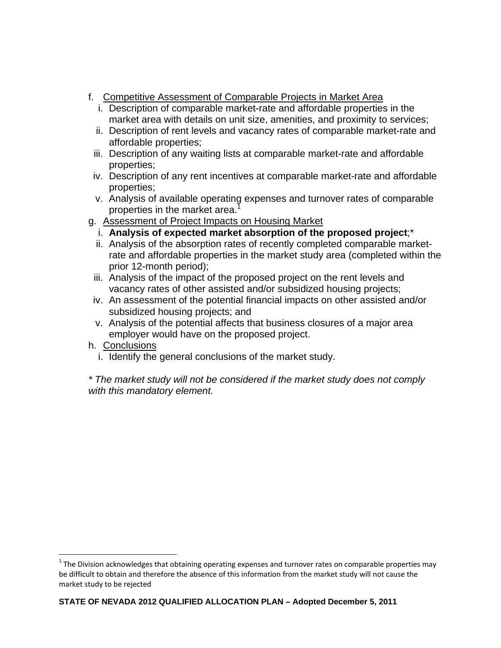- f. Competitive Assessment of Comparable Projects in Market Area
	- i. Description of comparable market-rate and affordable properties in the market area with details on unit size, amenities, and proximity to services;
	- ii. Description of rent levels and vacancy rates of comparable market-rate and affordable properties;
	- iii. Description of any waiting lists at comparable market-rate and affordable properties;
- iv. Description of any rent incentives at comparable market-rate and affordable properties;
- v. Analysis of available operating expenses and turnover rates of comparable properties in the market area.<sup>1</sup>
- g. Assessment of Project Impacts on Housing Market
	- i. **Analysis of expected market absorption of the proposed project**;\*
	- ii. Analysis of the absorption rates of recently completed comparable marketrate and affordable properties in the market study area (completed within the prior 12-month period);
- iii. Analysis of the impact of the proposed project on the rent levels and vacancy rates of other assisted and/or subsidized housing projects;
- iv. An assessment of the potential financial impacts on other assisted and/or subsidized housing projects; and
- v. Analysis of the potential affects that business closures of a major area employer would have on the proposed project.
- h. Conclusions

i. Identify the general conclusions of the market study.

*\* The market study will not be considered if the market study does not comply with this mandatory element.* 

 $1$  The Division acknowledges that obtaining operating expenses and turnover rates on comparable properties may be difficult to obtain and therefore the absence of this information from the market study will not cause the market study to be rejected